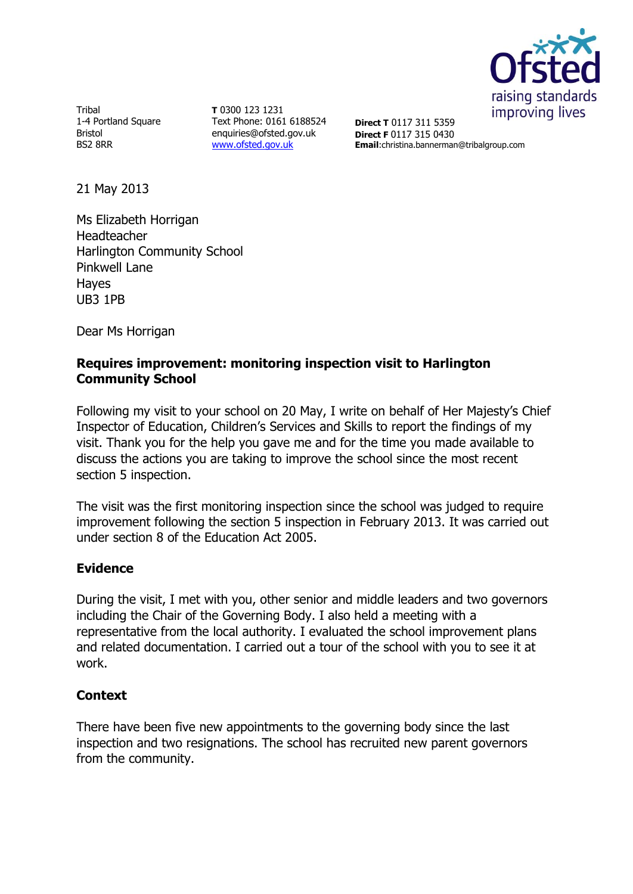

Tribal 1-4 Portland Square Bristol BS2 8RR

**T** 0300 123 1231 Text Phone: 0161 6188524 enquiries@ofsted.gov.uk [www.ofsted.gov.uk](http://www.ofsted.gov.uk/)

**Direct T** 0117 311 5359 **Direct F** 0117 315 0430 **Email**:christina.bannerman@tribalgroup.com

21 May 2013

Ms Elizabeth Horrigan Headteacher Harlington Community School Pinkwell Lane Hayes UB3 1PB

Dear Ms Horrigan

## **Requires improvement: monitoring inspection visit to Harlington Community School**

Following my visit to your school on 20 May, I write on behalf of Her Majesty's Chief Inspector of Education, Children's Services and Skills to report the findings of my visit. Thank you for the help you gave me and for the time you made available to discuss the actions you are taking to improve the school since the most recent section 5 inspection.

The visit was the first monitoring inspection since the school was judged to require improvement following the section 5 inspection in February 2013. It was carried out under section 8 of the Education Act 2005.

# **Evidence**

During the visit, I met with you, other senior and middle leaders and two governors including the Chair of the Governing Body. I also held a meeting with a representative from the local authority. I evaluated the school improvement plans and related documentation. I carried out a tour of the school with you to see it at work.

### **Context**

There have been five new appointments to the governing body since the last inspection and two resignations. The school has recruited new parent governors from the community.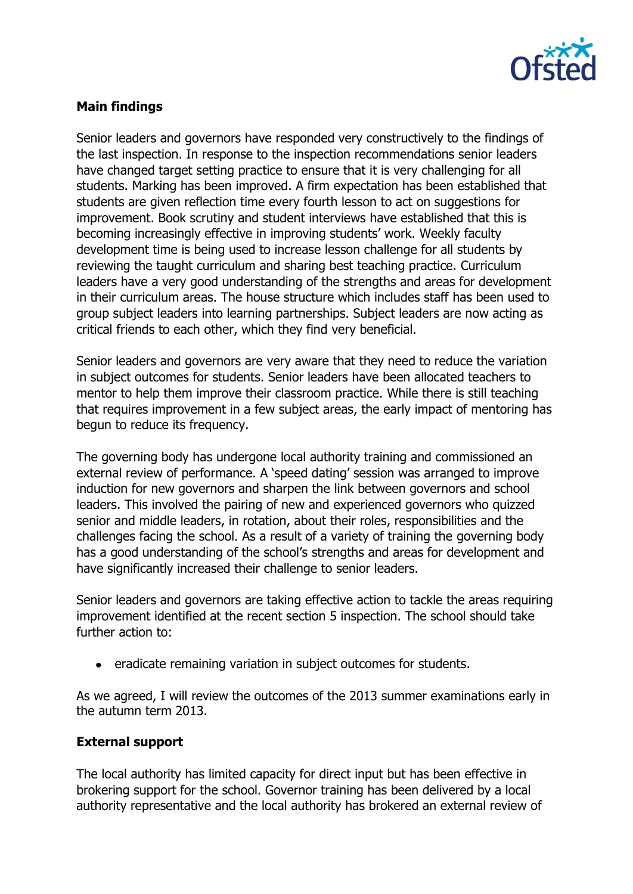

### **Main findings**

Senior leaders and governors have responded very constructively to the findings of the last inspection. In response to the inspection recommendations senior leaders have changed target setting practice to ensure that it is very challenging for all students. Marking has been improved. A firm expectation has been established that students are given reflection time every fourth lesson to act on suggestions for improvement. Book scrutiny and student interviews have established that this is becoming increasingly effective in improving students' work. Weekly faculty development time is being used to increase lesson challenge for all students by reviewing the taught curriculum and sharing best teaching practice. Curriculum leaders have a very good understanding of the strengths and areas for development in their curriculum areas. The house structure which includes staff has been used to group subject leaders into learning partnerships. Subject leaders are now acting as critical friends to each other, which they find very beneficial.

Senior leaders and governors are very aware that they need to reduce the variation in subject outcomes for students. Senior leaders have been allocated teachers to mentor to help them improve their classroom practice. While there is still teaching that requires improvement in a few subject areas, the early impact of mentoring has begun to reduce its frequency.

The governing body has undergone local authority training and commissioned an external review of performance. A 'speed dating' session was arranged to improve induction for new governors and sharpen the link between governors and school leaders. This involved the pairing of new and experienced governors who quizzed senior and middle leaders, in rotation, about their roles, responsibilities and the challenges facing the school. As a result of a variety of training the governing body has a good understanding of the school's strengths and areas for development and have significantly increased their challenge to senior leaders.

Senior leaders and governors are taking effective action to tackle the areas requiring improvement identified at the recent section 5 inspection. The school should take further action to:

• eradicate remaining variation in subject outcomes for students.

As we agreed, I will review the outcomes of the 2013 summer examinations early in the autumn term 2013.

### **External support**

The local authority has limited capacity for direct input but has been effective in brokering support for the school. Governor training has been delivered by a local authority representative and the local authority has brokered an external review of